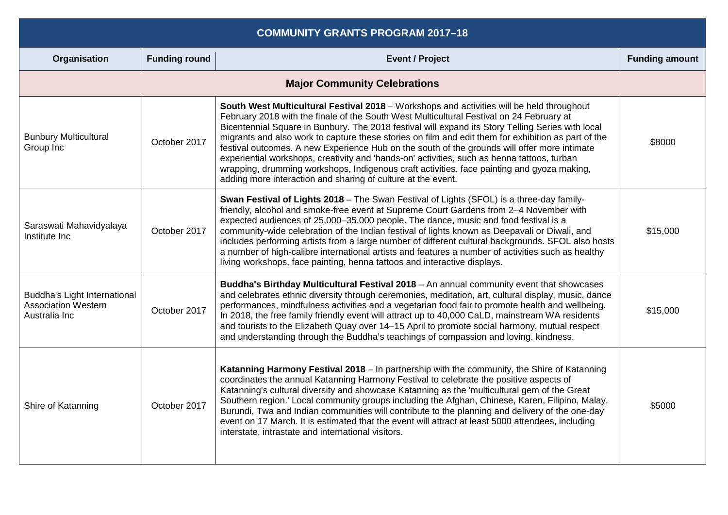| <b>COMMUNITY GRANTS PROGRAM 2017-18</b>                                     |                      |                                                                                                                                                                                                                                                                                                                                                                                                                                                                                                                                                                                                                                                                                                                                                                |                       |
|-----------------------------------------------------------------------------|----------------------|----------------------------------------------------------------------------------------------------------------------------------------------------------------------------------------------------------------------------------------------------------------------------------------------------------------------------------------------------------------------------------------------------------------------------------------------------------------------------------------------------------------------------------------------------------------------------------------------------------------------------------------------------------------------------------------------------------------------------------------------------------------|-----------------------|
| Organisation                                                                | <b>Funding round</b> | <b>Event / Project</b>                                                                                                                                                                                                                                                                                                                                                                                                                                                                                                                                                                                                                                                                                                                                         | <b>Funding amount</b> |
|                                                                             |                      | <b>Major Community Celebrations</b>                                                                                                                                                                                                                                                                                                                                                                                                                                                                                                                                                                                                                                                                                                                            |                       |
| <b>Bunbury Multicultural</b><br>Group Inc                                   | October 2017         | South West Multicultural Festival 2018 – Workshops and activities will be held throughout<br>February 2018 with the finale of the South West Multicultural Festival on 24 February at<br>Bicentennial Square in Bunbury. The 2018 festival will expand its Story Telling Series with local<br>migrants and also work to capture these stories on film and edit them for exhibition as part of the<br>festival outcomes. A new Experience Hub on the south of the grounds will offer more intimate<br>experiential workshops, creativity and 'hands-on' activities, such as henna tattoos, turban<br>wrapping, drumming workshops, Indigenous craft activities, face painting and gyoza making,<br>adding more interaction and sharing of culture at the event. | \$8000                |
| Saraswati Mahavidyalaya<br>Institute Inc                                    | October 2017         | Swan Festival of Lights 2018 - The Swan Festival of Lights (SFOL) is a three-day family-<br>friendly, alcohol and smoke-free event at Supreme Court Gardens from 2-4 November with<br>expected audiences of 25,000-35,000 people. The dance, music and food festival is a<br>community-wide celebration of the Indian festival of lights known as Deepavali or Diwali, and<br>includes performing artists from a large number of different cultural backgrounds. SFOL also hosts<br>a number of high-calibre international artists and features a number of activities such as healthy<br>living workshops, face painting, henna tattoos and interactive displays.                                                                                             | \$15,000              |
| Buddha's Light International<br><b>Association Western</b><br>Australia Inc | October 2017         | Buddha's Birthday Multicultural Festival 2018 - An annual community event that showcases<br>and celebrates ethnic diversity through ceremonies, meditation, art, cultural display, music, dance<br>performances, mindfulness activities and a vegetarian food fair to promote health and wellbeing.<br>In 2018, the free family friendly event will attract up to 40,000 CaLD, mainstream WA residents<br>and tourists to the Elizabeth Quay over 14-15 April to promote social harmony, mutual respect<br>and understanding through the Buddha's teachings of compassion and loving. kindness.                                                                                                                                                                | \$15,000              |
| Shire of Katanning                                                          | October 2017         | Katanning Harmony Festival 2018 - In partnership with the community, the Shire of Katanning<br>coordinates the annual Katanning Harmony Festival to celebrate the positive aspects of<br>Katanning's cultural diversity and showcase Katanning as the 'multicultural gem of the Great<br>Southern region.' Local community groups including the Afghan, Chinese, Karen, Filipino, Malay,<br>Burundi, Twa and Indian communities will contribute to the planning and delivery of the one-day<br>event on 17 March. It is estimated that the event will attract at least 5000 attendees, including<br>interstate, intrastate and international visitors.                                                                                                         | \$5000                |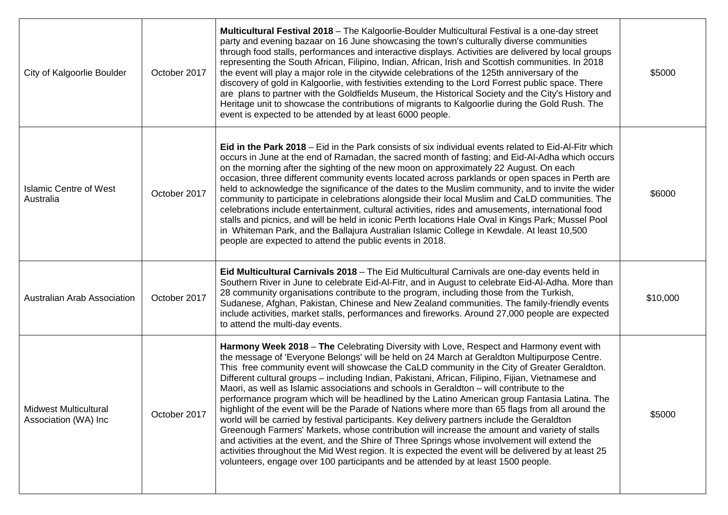| City of Kalgoorlie Boulder                    | October 2017 | <b>Multicultural Festival 2018</b> – The Kalgoorlie-Boulder Multicultural Festival is a one-day street<br>party and evening bazaar on 16 June showcasing the town's culturally diverse communities<br>through food stalls, performances and interactive displays. Activities are delivered by local groups<br>representing the South African, Filipino, Indian, African, Irish and Scottish communities. In 2018<br>the event will play a major role in the citywide celebrations of the 125th anniversary of the<br>discovery of gold in Kalgoorlie, with festivities extending to the Lord Forrest public space. There<br>are plans to partner with the Goldfields Museum, the Historical Society and the City's History and<br>Heritage unit to showcase the contributions of migrants to Kalgoorlie during the Gold Rush. The<br>event is expected to be attended by at least 6000 people.                                                                                                                                                                                                                                                                                                | \$5000   |
|-----------------------------------------------|--------------|-----------------------------------------------------------------------------------------------------------------------------------------------------------------------------------------------------------------------------------------------------------------------------------------------------------------------------------------------------------------------------------------------------------------------------------------------------------------------------------------------------------------------------------------------------------------------------------------------------------------------------------------------------------------------------------------------------------------------------------------------------------------------------------------------------------------------------------------------------------------------------------------------------------------------------------------------------------------------------------------------------------------------------------------------------------------------------------------------------------------------------------------------------------------------------------------------|----------|
| <b>Islamic Centre of West</b><br>Australia    | October 2017 | Eid in the Park 2018 – Eid in the Park consists of six individual events related to Eid-Al-Fitr which<br>occurs in June at the end of Ramadan, the sacred month of fasting; and Eid-Al-Adha which occurs<br>on the morning after the sighting of the new moon on approximately 22 August. On each<br>occasion, three different community events located across parklands or open spaces in Perth are<br>held to acknowledge the significance of the dates to the Muslim community, and to invite the wider<br>community to participate in celebrations alongside their local Muslim and CaLD communities. The<br>celebrations include entertainment, cultural activities, rides and amusements, international food<br>stalls and picnics, and will be held in iconic Perth locations Hale Oval in Kings Park; Mussel Pool<br>in Whiteman Park, and the Ballajura Australian Islamic College in Kewdale. At least 10,500<br>people are expected to attend the public events in 2018.                                                                                                                                                                                                           | \$6000   |
| Australian Arab Association                   | October 2017 | Eid Multicultural Carnivals 2018 - The Eid Multicultural Carnivals are one-day events held in<br>Southern River in June to celebrate Eid-Al-Fitr, and in August to celebrate Eid-Al-Adha. More than<br>28 community organisations contribute to the program, including those from the Turkish,<br>Sudanese, Afghan, Pakistan, Chinese and New Zealand communities. The family-friendly events<br>include activities, market stalls, performances and fireworks. Around 27,000 people are expected<br>to attend the multi-day events.                                                                                                                                                                                                                                                                                                                                                                                                                                                                                                                                                                                                                                                          | \$10,000 |
| Midwest Multicultural<br>Association (WA) Inc | October 2017 | Harmony Week 2018 – The Celebrating Diversity with Love, Respect and Harmony event with<br>the message of 'Everyone Belongs' will be held on 24 March at Geraldton Multipurpose Centre.<br>This free community event will showcase the CaLD community in the City of Greater Geraldton.<br>Different cultural groups - including Indian, Pakistani, African, Filipino, Fijian, Vietnamese and<br>Maori, as well as Islamic associations and schools in Geraldton – will contribute to the<br>performance program which will be headlined by the Latino American group Fantasia Latina. The<br>highlight of the event will be the Parade of Nations where more than 65 flags from all around the<br>world will be carried by festival participants. Key delivery partners include the Geraldton<br>Greenough Farmers' Markets, whose contribution will increase the amount and variety of stalls<br>and activities at the event, and the Shire of Three Springs whose involvement will extend the<br>activities throughout the Mid West region. It is expected the event will be delivered by at least 25<br>volunteers, engage over 100 participants and be attended by at least 1500 people. | \$5000   |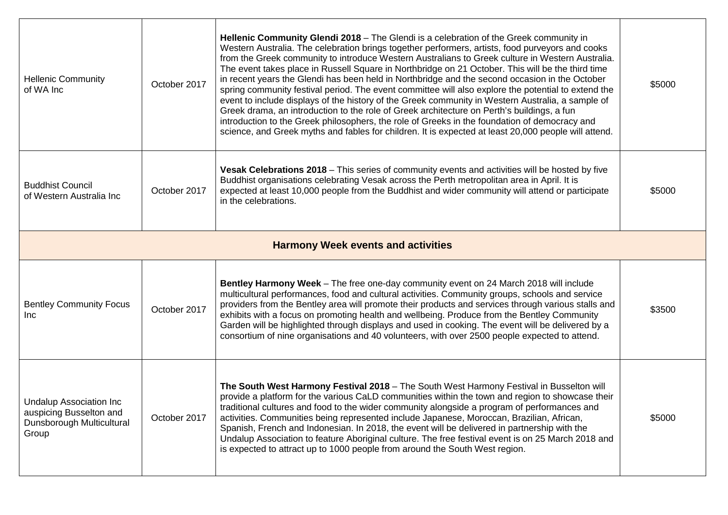| <b>Hellenic Community</b><br>of WA Inc                                                           | October 2017 | Hellenic Community Glendi 2018 - The Glendi is a celebration of the Greek community in<br>Western Australia. The celebration brings together performers, artists, food purveyors and cooks<br>from the Greek community to introduce Western Australians to Greek culture in Western Australia.<br>The event takes place in Russell Square in Northbridge on 21 October. This will be the third time<br>in recent years the Glendi has been held in Northbridge and the second occasion in the October<br>spring community festival period. The event committee will also explore the potential to extend the<br>event to include displays of the history of the Greek community in Western Australia, a sample of<br>Greek drama, an introduction to the role of Greek architecture on Perth's buildings, a fun<br>introduction to the Greek philosophers, the role of Greeks in the foundation of democracy and<br>science, and Greek myths and fables for children. It is expected at least 20,000 people will attend. | \$5000 |
|--------------------------------------------------------------------------------------------------|--------------|--------------------------------------------------------------------------------------------------------------------------------------------------------------------------------------------------------------------------------------------------------------------------------------------------------------------------------------------------------------------------------------------------------------------------------------------------------------------------------------------------------------------------------------------------------------------------------------------------------------------------------------------------------------------------------------------------------------------------------------------------------------------------------------------------------------------------------------------------------------------------------------------------------------------------------------------------------------------------------------------------------------------------|--------|
| <b>Buddhist Council</b><br>of Western Australia Inc                                              | October 2017 | Vesak Celebrations 2018 – This series of community events and activities will be hosted by five<br>Buddhist organisations celebrating Vesak across the Perth metropolitan area in April. It is<br>expected at least 10,000 people from the Buddhist and wider community will attend or participate<br>in the celebrations.                                                                                                                                                                                                                                                                                                                                                                                                                                                                                                                                                                                                                                                                                               | \$5000 |
|                                                                                                  |              | <b>Harmony Week events and activities</b>                                                                                                                                                                                                                                                                                                                                                                                                                                                                                                                                                                                                                                                                                                                                                                                                                                                                                                                                                                                |        |
| <b>Bentley Community Focus</b><br>Inc.                                                           | October 2017 | Bentley Harmony Week - The free one-day community event on 24 March 2018 will include<br>multicultural performances, food and cultural activities. Community groups, schools and service<br>providers from the Bentley area will promote their products and services through various stalls and<br>exhibits with a focus on promoting health and wellbeing. Produce from the Bentley Community<br>Garden will be highlighted through displays and used in cooking. The event will be delivered by a<br>consortium of nine organisations and 40 volunteers, with over 2500 people expected to attend.                                                                                                                                                                                                                                                                                                                                                                                                                     | \$3500 |
| <b>Undalup Association Inc.</b><br>auspicing Busselton and<br>Dunsborough Multicultural<br>Group | October 2017 | The South West Harmony Festival 2018 - The South West Harmony Festival in Busselton will<br>provide a platform for the various CaLD communities within the town and region to showcase their<br>traditional cultures and food to the wider community alongside a program of performances and<br>activities. Communities being represented include Japanese, Moroccan, Brazilian, African,<br>Spanish, French and Indonesian. In 2018, the event will be delivered in partnership with the<br>Undalup Association to feature Aboriginal culture. The free festival event is on 25 March 2018 and<br>is expected to attract up to 1000 people from around the South West region.                                                                                                                                                                                                                                                                                                                                           | \$5000 |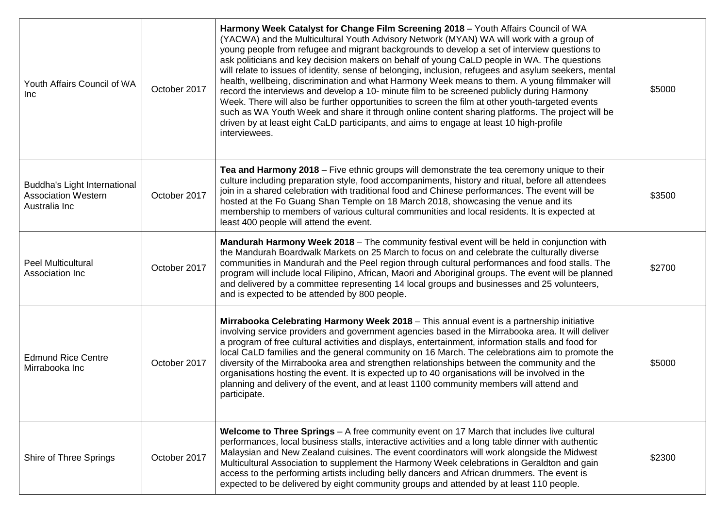| Youth Affairs Council of WA<br><b>Inc</b>                                   | October 2017 | Harmony Week Catalyst for Change Film Screening 2018 - Youth Affairs Council of WA<br>(YACWA) and the Multicultural Youth Advisory Network (MYAN) WA will work with a group of<br>young people from refugee and migrant backgrounds to develop a set of interview questions to<br>ask politicians and key decision makers on behalf of young CaLD people in WA. The questions<br>will relate to issues of identity, sense of belonging, inclusion, refugees and asylum seekers, mental<br>health, wellbeing, discrimination and what Harmony Week means to them. A young filmmaker will<br>record the interviews and develop a 10- minute film to be screened publicly during Harmony<br>Week. There will also be further opportunities to screen the film at other youth-targeted events<br>such as WA Youth Week and share it through online content sharing platforms. The project will be<br>driven by at least eight CaLD participants, and aims to engage at least 10 high-profile<br>interviewees. | \$5000 |
|-----------------------------------------------------------------------------|--------------|-----------------------------------------------------------------------------------------------------------------------------------------------------------------------------------------------------------------------------------------------------------------------------------------------------------------------------------------------------------------------------------------------------------------------------------------------------------------------------------------------------------------------------------------------------------------------------------------------------------------------------------------------------------------------------------------------------------------------------------------------------------------------------------------------------------------------------------------------------------------------------------------------------------------------------------------------------------------------------------------------------------|--------|
| Buddha's Light International<br><b>Association Western</b><br>Australia Inc | October 2017 | Tea and Harmony 2018 - Five ethnic groups will demonstrate the tea ceremony unique to their<br>culture including preparation style, food accompaniments, history and ritual, before all attendees<br>join in a shared celebration with traditional food and Chinese performances. The event will be<br>hosted at the Fo Guang Shan Temple on 18 March 2018, showcasing the venue and its<br>membership to members of various cultural communities and local residents. It is expected at<br>least 400 people will attend the event.                                                                                                                                                                                                                                                                                                                                                                                                                                                                       | \$3500 |
| <b>Peel Multicultural</b><br>Association Inc                                | October 2017 | Mandurah Harmony Week 2018 - The community festival event will be held in conjunction with<br>the Mandurah Boardwalk Markets on 25 March to focus on and celebrate the culturally diverse<br>communities in Mandurah and the Peel region through cultural performances and food stalls. The<br>program will include local Filipino, African, Maori and Aboriginal groups. The event will be planned<br>and delivered by a committee representing 14 local groups and businesses and 25 volunteers,<br>and is expected to be attended by 800 people.                                                                                                                                                                                                                                                                                                                                                                                                                                                       | \$2700 |
| <b>Edmund Rice Centre</b><br>Mirrabooka Inc                                 | October 2017 | Mirrabooka Celebrating Harmony Week 2018 - This annual event is a partnership initiative<br>involving service providers and government agencies based in the Mirrabooka area. It will deliver<br>a program of free cultural activities and displays, entertainment, information stalls and food for<br>local CaLD families and the general community on 16 March. The celebrations aim to promote the<br>diversity of the Mirrabooka area and strengthen relationships between the community and the<br>organisations hosting the event. It is expected up to 40 organisations will be involved in the<br>planning and delivery of the event, and at least 1100 community members will attend and<br>participate.                                                                                                                                                                                                                                                                                         | \$5000 |
| Shire of Three Springs                                                      | October 2017 | Welcome to Three Springs - A free community event on 17 March that includes live cultural<br>performances, local business stalls, interactive activities and a long table dinner with authentic<br>Malaysian and New Zealand cuisines. The event coordinators will work alongside the Midwest<br>Multicultural Association to supplement the Harmony Week celebrations in Geraldton and gain<br>access to the performing artists including belly dancers and African drummers. The event is<br>expected to be delivered by eight community groups and attended by at least 110 people.                                                                                                                                                                                                                                                                                                                                                                                                                    | \$2300 |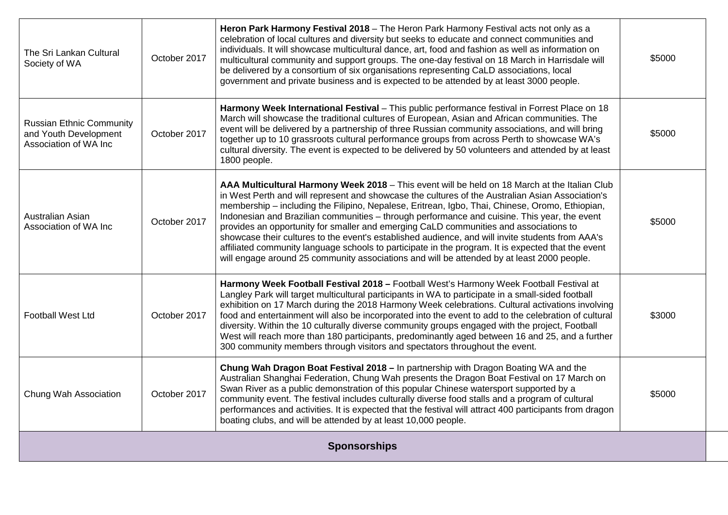| The Sri Lankan Cultural<br>Society of WA                                          | October 2017 | Heron Park Harmony Festival 2018 - The Heron Park Harmony Festival acts not only as a<br>celebration of local cultures and diversity but seeks to educate and connect communities and<br>individuals. It will showcase multicultural dance, art, food and fashion as well as information on<br>multicultural community and support groups. The one-day festival on 18 March in Harrisdale will<br>be delivered by a consortium of six organisations representing CaLD associations, local<br>government and private business and is expected to be attended by at least 3000 people.                                                                                                                                                                                                                  | \$5000 |
|-----------------------------------------------------------------------------------|--------------|-------------------------------------------------------------------------------------------------------------------------------------------------------------------------------------------------------------------------------------------------------------------------------------------------------------------------------------------------------------------------------------------------------------------------------------------------------------------------------------------------------------------------------------------------------------------------------------------------------------------------------------------------------------------------------------------------------------------------------------------------------------------------------------------------------|--------|
| <b>Russian Ethnic Community</b><br>and Youth Development<br>Association of WA Inc | October 2017 | Harmony Week International Festival - This public performance festival in Forrest Place on 18<br>March will showcase the traditional cultures of European, Asian and African communities. The<br>event will be delivered by a partnership of three Russian community associations, and will bring<br>together up to 10 grassroots cultural performance groups from across Perth to showcase WA's<br>cultural diversity. The event is expected to be delivered by 50 volunteers and attended by at least<br>1800 people.                                                                                                                                                                                                                                                                               | \$5000 |
| Australian Asian<br>Association of WA Inc                                         | October 2017 | AAA Multicultural Harmony Week 2018 - This event will be held on 18 March at the Italian Club<br>in West Perth and will represent and showcase the cultures of the Australian Asian Association's<br>membership - including the Filipino, Nepalese, Eritrean, Igbo, Thai, Chinese, Oromo, Ethiopian,<br>Indonesian and Brazilian communities - through performance and cuisine. This year, the event<br>provides an opportunity for smaller and emerging CaLD communities and associations to<br>showcase their cultures to the event's established audience, and will invite students from AAA's<br>affiliated community language schools to participate in the program. It is expected that the event<br>will engage around 25 community associations and will be attended by at least 2000 people. | \$5000 |
| <b>Football West Ltd</b>                                                          | October 2017 | Harmony Week Football Festival 2018 - Football West's Harmony Week Football Festival at<br>Langley Park will target multicultural participants in WA to participate in a small-sided football<br>exhibition on 17 March during the 2018 Harmony Week celebrations. Cultural activations involving<br>food and entertainment will also be incorporated into the event to add to the celebration of cultural<br>diversity. Within the 10 culturally diverse community groups engaged with the project, Football<br>West will reach more than 180 participants, predominantly aged between 16 and 25, and a further<br>300 community members through visitors and spectators throughout the event.                                                                                                       | \$3000 |
| Chung Wah Association                                                             | October 2017 | Chung Wah Dragon Boat Festival 2018 - In partnership with Dragon Boating WA and the<br>Australian Shanghai Federation, Chung Wah presents the Dragon Boat Festival on 17 March on<br>Swan River as a public demonstration of this popular Chinese watersport supported by a<br>community event. The festival includes culturally diverse food stalls and a program of cultural<br>performances and activities. It is expected that the festival will attract 400 participants from dragon<br>boating clubs, and will be attended by at least 10,000 people.                                                                                                                                                                                                                                           | \$5000 |
| <b>Sponsorships</b>                                                               |              |                                                                                                                                                                                                                                                                                                                                                                                                                                                                                                                                                                                                                                                                                                                                                                                                       |        |